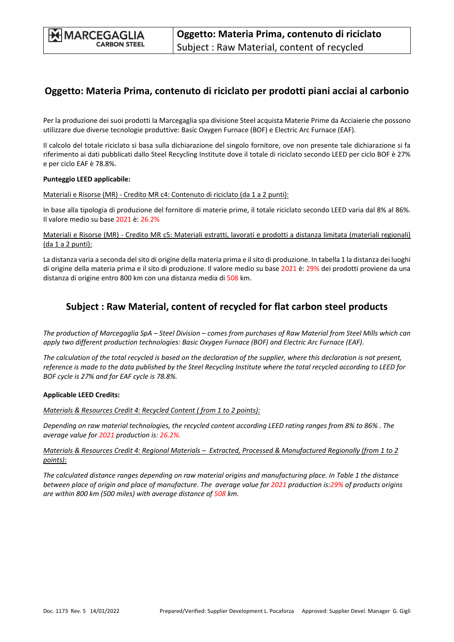## **Oggetto: Materia Prima, contenuto di riciclato per prodotti piani acciai al carbonio**

Per la produzione dei suoi prodotti la Marcegaglia spa divisione Steel acquista Materie Prime da Acciaierie che possono utilizzare due diverse tecnologie produttive: Basic Oxygen Furnace (BOF) e Electric Arc Furnace (EAF).

Il calcolo del totale riciclato si basa sulla dichiarazione del singolo fornitore, ove non presente tale dichiarazione si fa riferimento ai dati pubblicati dallo Steel Recycling Institute dove il totale di riciclato secondo LEED per ciclo BOF è 27% e per ciclo EAF è 78.8%.

#### **Punteggio LEED applicabile:**

Materiali e Risorse (MR) ‐ Credito MR c4: Contenuto di riciclato (da 1 a 2 punti):

In base alla tipologia di produzione del fornitore di materie prime, il totale riciclato secondo LEED varia dal 8% al 86%. Il valore medio su base 2021 è: 26.2%

Materiali e Risorse (MR) ‐ Credito MR c5: Materiali estratti, lavorati e prodotti a distanza limitata (materiali regionali) (da 1 a 2 punti):

La distanza varia a seconda delsito di origine della materia prima e ilsito di produzione. In tabella 1 la distanza dei luoghi di origine della materia prima e il sito di produzione. Il valore medio su base 2021 è: 29% dei prodotti proviene da una distanza di origine entro 800 km con una distanza media di 508 km.

### **Subject : Raw Material, content of recycled for flat carbon steel products**

The production of Marcegaglia SpA - Steel Division - comes from purchases of Raw Material from Steel Mills which can *apply two different production technologies: Basic Oxygen Furnace (BOF) and Electric Arc Furnace (EAF).*

The calculation of the total recycled is based on the declaration of the supplier, where this declaration is not present, reference is made to the data published by the Steel Recycling Institute where the total recycled according to LEED for *BOF cycle is 27% and for EAF cycle is 78.8%.*

#### **Applicable LEED Credits:**

*Materials & Resources Credit 4: Recycled Content ( from 1 to 2 points):*

Depending on raw material technologies, the recycled content according LEED rating ranges from 8% to 86%. The *average value for 2021 production is: 26.2%.*

Materials & Resources Credit 4: Regional Materials - Extracted, Processed & Manufactured Regionally (from 1 to 2 *points):*

The calculated distance ranges depending on raw material origins and manufacturing place. In Table 1 the distance between place of origin and place of manufacture. The average value for 2021 production is:29% of products origins *are within 800 km (500 miles) with average distance of 508 km.*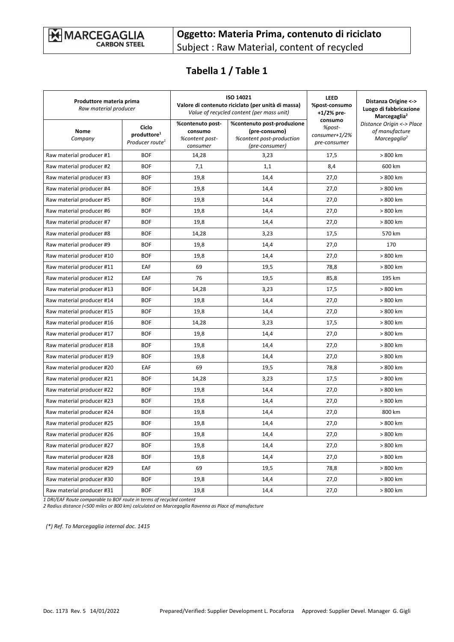# **Tabella 1 / Table 1**

| Produttore materia prima<br>Raw material producer |                                                                 | ISO 14021<br>Valore di contenuto riciclato (per unità di massa)<br>Value of recycled content (per mass unit) |                                                                                           | <b>LEED</b><br>%post-consumo<br>$+1/2%$ pre-       | Distanza Origine <-><br>Luogo di fabbricazione<br>Marcegaglia <sup>2</sup> |
|---------------------------------------------------|-----------------------------------------------------------------|--------------------------------------------------------------------------------------------------------------|-------------------------------------------------------------------------------------------|----------------------------------------------------|----------------------------------------------------------------------------|
| <b>Nome</b><br>Company                            | Ciclo<br>produttore <sup>1</sup><br>Producer route <sup>1</sup> | %contenuto post-<br>consumo<br>%content post-<br>consumer                                                    | %contenuto post-produzione<br>(pre-consumo)<br>%content post-production<br>(pre-consumer) | consumo<br>%post-<br>consumer+1/2%<br>pre-consumer | Distance Origin <-> Place<br>of manufacture<br>Marcegaglia <sup>2</sup>    |
| Raw material producer #1                          | <b>BOF</b>                                                      | 14,28                                                                                                        | 3,23                                                                                      | 17,5                                               | > 800 km                                                                   |
| Raw material producer #2                          | <b>BOF</b>                                                      | 7,1                                                                                                          | 1,1                                                                                       | 8,4                                                | 600 km                                                                     |
| Raw material producer #3                          | <b>BOF</b>                                                      | 19,8                                                                                                         | 14,4                                                                                      | 27,0                                               | > 800 km                                                                   |
| Raw material producer #4                          | <b>BOF</b>                                                      | 19,8                                                                                                         | 14,4                                                                                      | 27,0                                               | > 800 km                                                                   |
| Raw material producer #5                          | <b>BOF</b>                                                      | 19,8                                                                                                         | 14,4                                                                                      | 27,0                                               | > 800 km                                                                   |
| Raw material producer #6                          | <b>BOF</b>                                                      | 19,8                                                                                                         | 14,4                                                                                      | 27,0                                               | > 800 km                                                                   |
| Raw material producer #7                          | <b>BOF</b>                                                      | 19,8                                                                                                         | 14,4                                                                                      | 27,0                                               | > 800 km                                                                   |
| Raw material producer #8                          | <b>BOF</b>                                                      | 14,28                                                                                                        | 3,23                                                                                      | 17,5                                               | 570 km                                                                     |
| Raw material producer #9                          | <b>BOF</b>                                                      | 19,8                                                                                                         | 14,4                                                                                      | 27,0                                               | 170                                                                        |
| Raw material producer #10                         | <b>BOF</b>                                                      | 19,8                                                                                                         | 14,4                                                                                      | 27,0                                               | > 800 km                                                                   |
| Raw material producer #11                         | EAF                                                             | 69                                                                                                           | 19,5                                                                                      | 78,8                                               | > 800 km                                                                   |
| Raw material producer #12                         | EAF                                                             | 76                                                                                                           | 19,5                                                                                      | 85,8                                               | 195 km                                                                     |
| Raw material producer #13                         | <b>BOF</b>                                                      | 14,28                                                                                                        | 3,23                                                                                      | 17,5                                               | > 800 km                                                                   |
| Raw material producer #14                         | <b>BOF</b>                                                      | 19,8                                                                                                         | 14,4                                                                                      | 27,0                                               | > 800 km                                                                   |
| Raw material producer #15                         | <b>BOF</b>                                                      | 19,8                                                                                                         | 14,4                                                                                      | 27,0                                               | > 800 km                                                                   |
| Raw material producer #16                         | <b>BOF</b>                                                      | 14,28                                                                                                        | 3,23                                                                                      | 17,5                                               | > 800 km                                                                   |
| Raw material producer #17                         | <b>BOF</b>                                                      | 19,8                                                                                                         | 14,4                                                                                      | 27,0                                               | > 800 km                                                                   |
| Raw material producer #18                         | <b>BOF</b>                                                      | 19,8                                                                                                         | 14,4                                                                                      | 27,0                                               | > 800 km                                                                   |
| Raw material producer #19                         | <b>BOF</b>                                                      | 19,8                                                                                                         | 14,4                                                                                      | 27,0                                               | > 800 km                                                                   |
| Raw material producer #20                         | EAF                                                             | 69                                                                                                           | 19,5                                                                                      | 78,8                                               | > 800 km                                                                   |
| Raw material producer #21                         | <b>BOF</b>                                                      | 14,28                                                                                                        | 3,23                                                                                      | 17,5                                               | > 800 km                                                                   |
| Raw material producer #22                         | <b>BOF</b>                                                      | 19,8                                                                                                         | 14,4                                                                                      | 27,0                                               | > 800 km                                                                   |
| Raw material producer #23                         | <b>BOF</b>                                                      | 19,8                                                                                                         | 14,4                                                                                      | 27,0                                               | > 800 km                                                                   |
| Raw material producer #24                         | <b>BOF</b>                                                      | 19,8                                                                                                         | 14,4                                                                                      | 27,0                                               | 800 km                                                                     |
| Raw material producer #25                         | <b>BOF</b>                                                      | 19,8                                                                                                         | 14,4                                                                                      | 27,0                                               | > 800 km                                                                   |
| Raw material producer #26                         | <b>BOF</b>                                                      | 19,8                                                                                                         | 14,4                                                                                      | 27,0                                               | > 800 km                                                                   |
| Raw material producer #27                         | <b>BOF</b>                                                      | 19,8                                                                                                         | 14,4                                                                                      | 27,0                                               | > 800 km                                                                   |
| Raw material producer #28                         | <b>BOF</b>                                                      | 19,8                                                                                                         | 14,4                                                                                      | 27,0                                               | > 800 km                                                                   |
| Raw material producer #29                         | EAF                                                             | 69                                                                                                           | 19,5                                                                                      | 78,8                                               | > 800 km                                                                   |
| Raw material producer #30                         | <b>BOF</b>                                                      | 19,8                                                                                                         | 14,4                                                                                      | 27,0                                               | > 800 km                                                                   |
| Raw material producer #31                         | <b>BOF</b>                                                      | 19,8                                                                                                         | 14,4                                                                                      | 27,0                                               | > 800 km                                                                   |

*1 DRI/EAF Route comparable to BOF route in terms of recycled content*

*2 Radius distance (<500 miles or 800 km) calculated on Marcegaglia Ravenna as Place of manufacture*

 *(\*) Ref. To Marcegaglia internal doc. 1415*